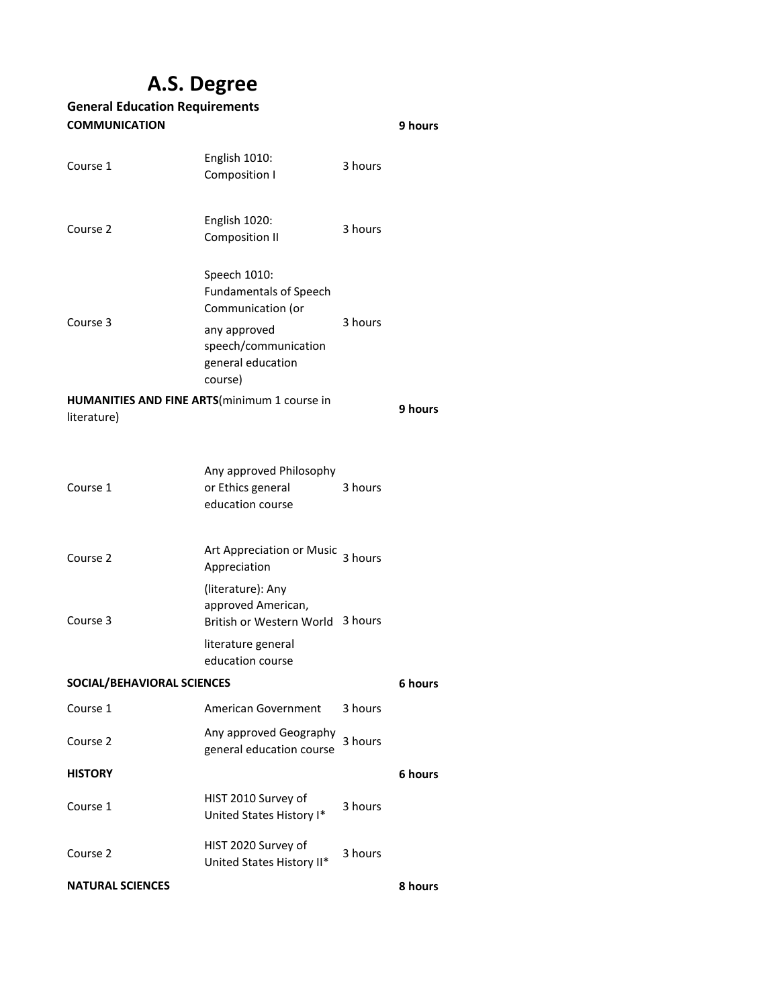## **A.S. Degree**

| <b>General Education Requirements</b>                |                                                                                                                                            |         |         |  |
|------------------------------------------------------|--------------------------------------------------------------------------------------------------------------------------------------------|---------|---------|--|
| <b>COMMUNICATION</b>                                 |                                                                                                                                            |         | 9 hours |  |
| Course 1                                             | English 1010:<br>Composition I                                                                                                             | 3 hours |         |  |
| Course 2                                             | English 1020:<br><b>Composition II</b>                                                                                                     | 3 hours |         |  |
| Course 3                                             | Speech 1010:<br><b>Fundamentals of Speech</b><br>Communication (or<br>any approved<br>speech/communication<br>general education<br>course) | 3 hours |         |  |
| <b>HUMANITIES AND FINE ARTS</b> (minimum 1 course in |                                                                                                                                            |         | 9 hours |  |
| literature)<br>Course 1                              | Any approved Philosophy<br>or Ethics general<br>education course                                                                           | 3 hours |         |  |
| Course 2                                             | Art Appreciation or Music<br>Appreciation                                                                                                  | 3 hours |         |  |
| Course 3                                             | (literature): Any<br>approved American,<br>British or Western World 3 hours<br>literature general<br>education course                      |         |         |  |
| SOCIAL/BEHAVIORAL SCIENCES                           |                                                                                                                                            |         | 6 hours |  |
| Course 1                                             | American Government                                                                                                                        | 3 hours |         |  |
| Course 2                                             | Any approved Geography<br>general education course                                                                                         | 3 hours |         |  |
| <b>HISTORY</b>                                       |                                                                                                                                            |         | 6 hours |  |
| Course 1                                             | HIST 2010 Survey of<br>United States History I*                                                                                            | 3 hours |         |  |
| Course 2                                             | HIST 2020 Survey of<br>United States History II*                                                                                           | 3 hours |         |  |
| <b>NATURAL SCIENCES</b>                              |                                                                                                                                            |         | 8 hours |  |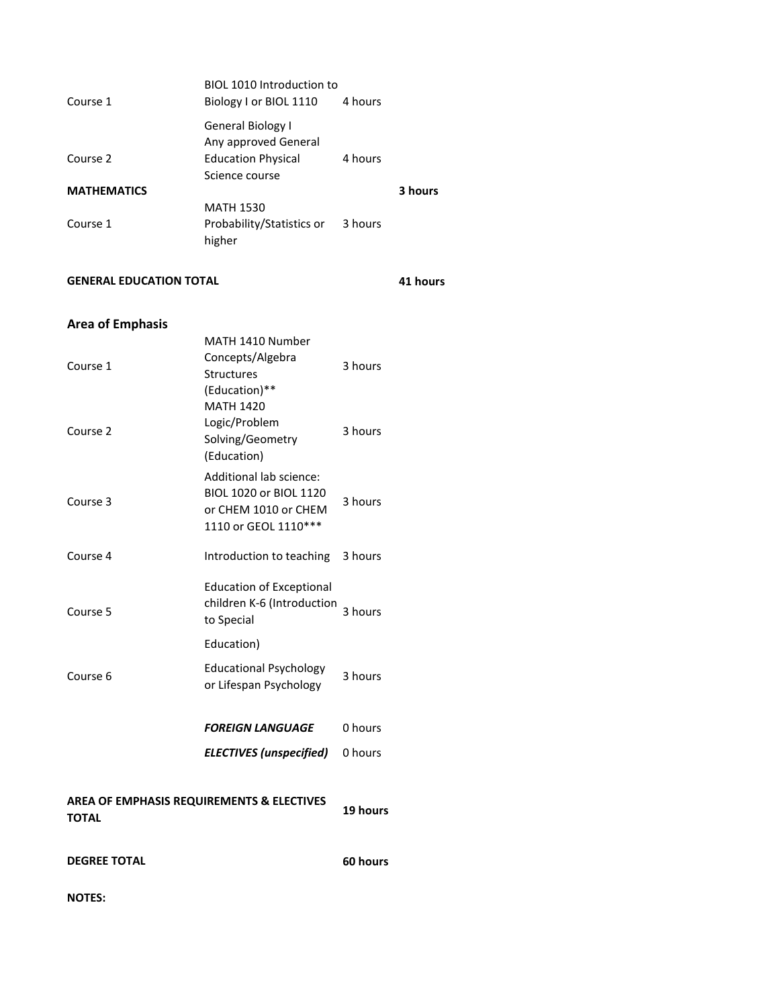| Course 1           | <b>BIOL 1010 Introduction to</b><br>Biology I or BIOL 1110             | 4 hours |         |
|--------------------|------------------------------------------------------------------------|---------|---------|
| Course 2           | General Biology I<br>Any approved General<br><b>Education Physical</b> | 4 hours |         |
| <b>MATHEMATICS</b> | Science course                                                         |         | 3 hours |
| Course 1           | <b>MATH 1530</b><br>Probability/Statistics or<br>higher                | 3 hours |         |

## **GENERAL EDUCATION TOTAL**

## **Area of Emphasis**

MATH 1410 Number Concepts/Algebra Structures (Education)\*\* Course 2 MATH 1420 Logic/Problem Solving/Geometry (Education) 3 hours Course 3 Additional lab science: BIOL 1020 or BIOL 1120 or CHEM 1010 or CHEM 1110 or GEOL 1110\*\*\* 3 hours Course 4 Introduction to teaching 3 hours Education of Exceptional children K-6 (Introduction Course 5 3 hours to Special Education) Course 6 Educational Psychology **Dramandian Faychology** 3 hours<br>or Lifespan Psychology *FOREIGN LANGUAGE* 0 hours *ELECTIVES (unspecified)* 0 hours **19 hours** Course 1 Concepts/Algebra 3 hours **AREA OF EMPHASIS REQUIREMENTS & ELECTIVES TOTAL**

**DEGREE TOTAL**

**60 hours**

**41 hours**

**NOTES:**